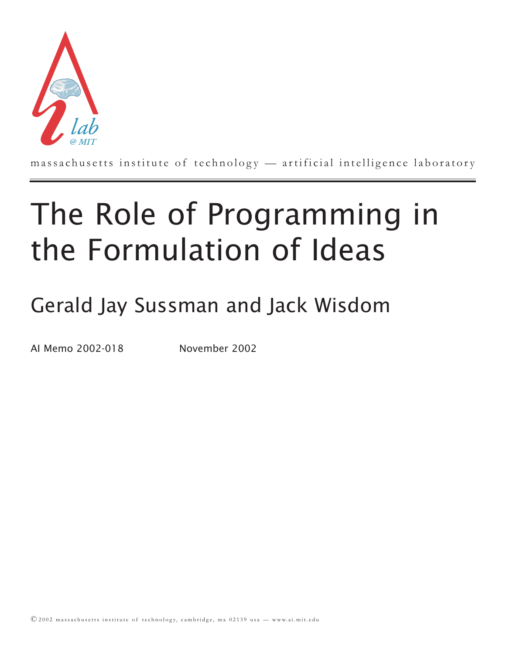

massachusetts institute of technology — artificial intelligence laboratory

# The Role of Programming in the Formulation of Ideas

## Gerald Jay Sussman and Jack Wisdom

AI Memo 2002-018 November 2002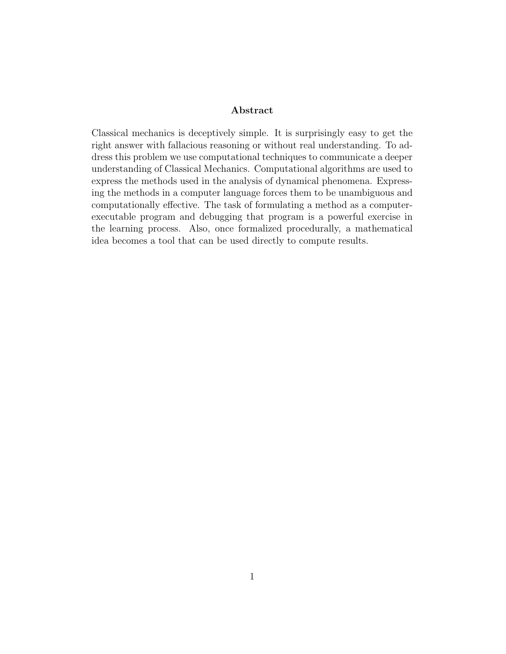#### **Abstract**

Classical mechanics is deceptively simple. It is surprisingly easy to get the right answer with fallacious reasoning or without real understanding. To address this problem we use computational techniques to communicate a deeper understanding of Classical Mechanics. Computational algorithms are used to express the methods used in the analysis of dynamical phenomena. Expressing the methods in a computer language forces them to be unambiguous and computationally effective. The task of formulating a method as a computerexecutable program and debugging that program is a powerful exercise in the learning process. Also, once formalized procedurally, a mathematical idea becomes a tool that can be used directly to compute results.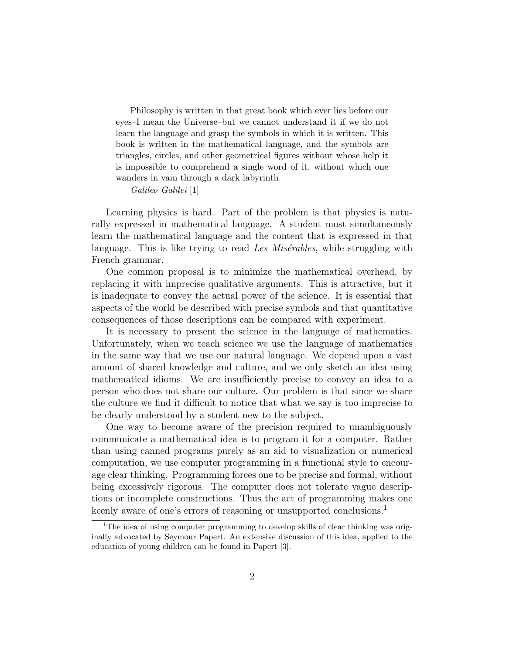Philosophy is written in that great book which ever lies before our eyes–I mean the Universe–but we cannot understand it if we do not learn the language and grasp the symbols in which it is written. This book is written in the mathematical language, and the symbols are triangles, circles, and other geometrical figures without whose help it is impossible to comprehend a single word of it, without which one wanders in vain through a dark labyrinth.

*Galileo Galilei* [1]

Learning physics is hard. Part of the problem is that physics is naturally expressed in mathematical language. A student must simultaneously learn the mathematical language and the content that is expressed in that language. This is like trying to read Les Misérables, while struggling with French grammar.

One common proposal is to minimize the mathematical overhead, by replacing it with imprecise qualitative arguments. This is attractive, but it is inadequate to convey the actual power of the science. It is essential that aspects of the world be described with precise symbols and that quantitative consequences of those descriptions can be compared with experiment.

It is necessary to present the science in the language of mathematics. Unfortunately, when we teach science we use the language of mathematics in the same way that we use our natural language. We depend upon a vast amount of shared knowledge and culture, and we only sketch an idea using mathematical idioms. We are insufficiently precise to convey an idea to a person who does not share our culture. Our problem is that since we share the culture we find it difficult to notice that what we say is too imprecise to be clearly understood by a student new to the subject.

One way to become aware of the precision required to unambiguously communicate a mathematical idea is to program it for a computer. Rather than using canned programs purely as an aid to visualization or numerical computation, we use computer programming in a functional style to encourage clear thinking. Programming forces one to be precise and formal, without being excessively rigorous. The computer does not tolerate vague descriptions or incomplete constructions. Thus the act of programming makes one keenly aware of one's errors of reasoning or unsupported conclusions.<sup>1</sup>

<sup>&</sup>lt;sup>1</sup>The idea of using computer programming to develop skills of clear thinking was originally advocated by Seymour Papert. An extensive discussion of this idea, applied to the education of young children can be found in Papert [3].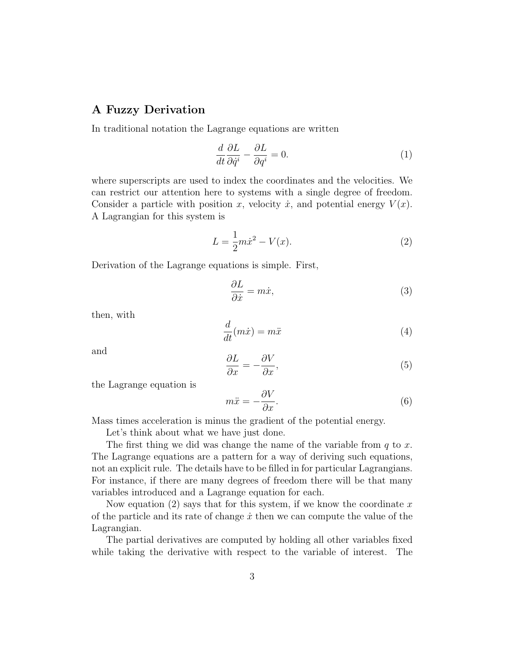#### **A Fuzzy Derivation**

In traditional notation the Lagrange equations are written

$$
\frac{d}{dt}\frac{\partial L}{\partial \dot{q}^i} - \frac{\partial L}{\partial q^i} = 0.
$$
\n(1)

where superscripts are used to index the coordinates and the velocities. We can restrict our attention here to systems with a single degree of freedom. Consider a particle with position x, velocity  $\dot{x}$ , and potential energy  $V(x)$ . A Lagrangian for this system is

$$
L = \frac{1}{2}m\dot{x}^2 - V(x).
$$
 (2)

Derivation of the Lagrange equations is simple. First,

$$
\frac{\partial L}{\partial \dot{x}} = m\dot{x},\tag{3}
$$

then, with

$$
\frac{d}{dt}(m\dot{x}) = m\ddot{x} \tag{4}
$$

and

$$
\frac{\partial L}{\partial x} = -\frac{\partial V}{\partial x},\tag{5}
$$

the Lagrange equation is

$$
m\ddot{x} = -\frac{\partial V}{\partial x}.\tag{6}
$$

Mass times acceleration is minus the gradient of the potential energy.

Let's think about what we have just done.

The first thing we did was change the name of the variable from  $q$  to  $x$ . The Lagrange equations are a pattern for a way of deriving such equations, not an explicit rule. The details have to be filled in for particular Lagrangians. For instance, if there are many degrees of freedom there will be that many variables introduced and a Lagrange equation for each.

Now equation (2) says that for this system, if we know the coordinate x of the particle and its rate of change  $\dot{x}$  then we can compute the value of the Lagrangian.

The partial derivatives are computed by holding all other variables fixed while taking the derivative with respect to the variable of interest. The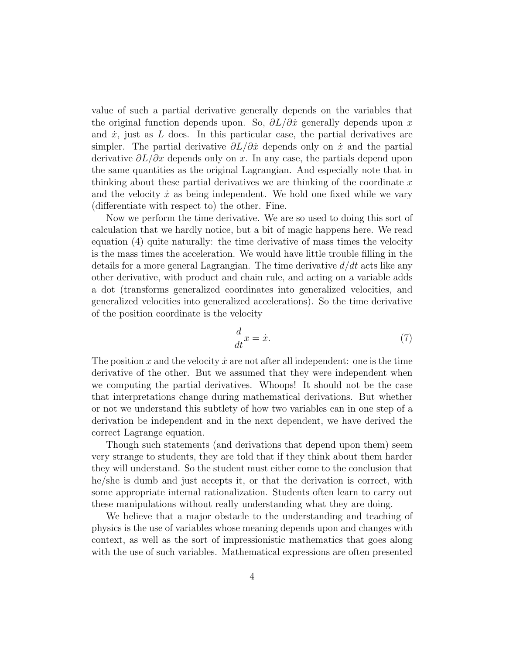value of such a partial derivative generally depends on the variables that the original function depends upon. So,  $\partial L/\partial \dot{x}$  generally depends upon x and  $\dot{x}$ , just as  $L$  does. In this particular case, the partial derivatives are simpler. The partial derivative  $\partial L/\partial \dot{x}$  depends only on  $\dot{x}$  and the partial derivative  $\partial L/\partial x$  depends only on x. In any case, the partials depend upon the same quantities as the original Lagrangian. And especially note that in thinking about these partial derivatives we are thinking of the coordinate  $x$ and the velocity  $\dot{x}$  as being independent. We hold one fixed while we vary (differentiate with respect to) the other. Fine.

Now we perform the time derivative. We are so used to doing this sort of calculation that we hardly notice, but a bit of magic happens here. We read equation (4) quite naturally: the time derivative of mass times the velocity is the mass times the acceleration. We would have little trouble filling in the details for a more general Lagrangian. The time derivative  $d/dt$  acts like any other derivative, with product and chain rule, and acting on a variable adds a dot (transforms generalized coordinates into generalized velocities, and generalized velocities into generalized accelerations). So the time derivative of the position coordinate is the velocity

$$
\frac{d}{dt}x = \dot{x}.\tag{7}
$$

The position x and the velocity  $\dot{x}$  are not after all independent: one is the time derivative of the other. But we assumed that they were independent when we computing the partial derivatives. Whoops! It should not be the case that interpretations change during mathematical derivations. But whether or not we understand this subtlety of how two variables can in one step of a derivation be independent and in the next dependent, we have derived the correct Lagrange equation.

Though such statements (and derivations that depend upon them) seem very strange to students, they are told that if they think about them harder they will understand. So the student must either come to the conclusion that he/she is dumb and just accepts it, or that the derivation is correct, with some appropriate internal rationalization. Students often learn to carry out these manipulations without really understanding what they are doing.

We believe that a major obstacle to the understanding and teaching of physics is the use of variables whose meaning depends upon and changes with context, as well as the sort of impressionistic mathematics that goes along with the use of such variables. Mathematical expressions are often presented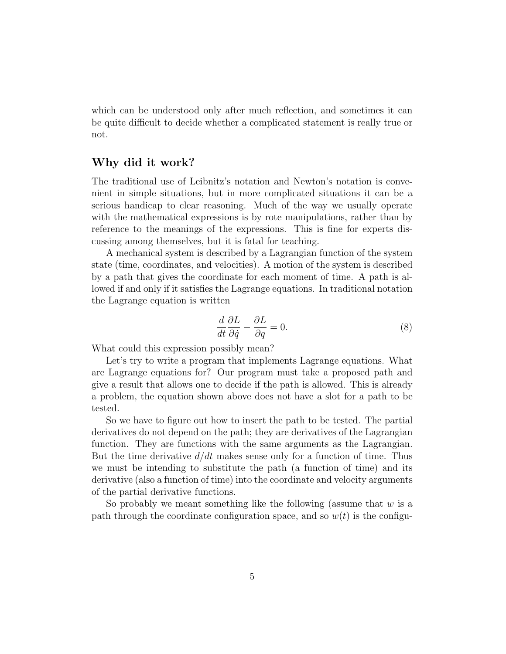which can be understood only after much reflection, and sometimes it can be quite difficult to decide whether a complicated statement is really true or not.

#### **Why did it work?**

The traditional use of Leibnitz's notation and Newton's notation is convenient in simple situations, but in more complicated situations it can be a serious handicap to clear reasoning. Much of the way we usually operate with the mathematical expressions is by rote manipulations, rather than by reference to the meanings of the expressions. This is fine for experts discussing among themselves, but it is fatal for teaching.

A mechanical system is described by a Lagrangian function of the system state (time, coordinates, and velocities). A motion of the system is described by a path that gives the coordinate for each moment of time. A path is allowed if and only if it satisfies the Lagrange equations. In traditional notation the Lagrange equation is written

$$
\frac{d}{dt}\frac{\partial L}{\partial \dot{q}} - \frac{\partial L}{\partial q} = 0.
$$
\n(8)

What could this expression possibly mean?

Let's try to write a program that implements Lagrange equations. What are Lagrange equations for? Our program must take a proposed path and give a result that allows one to decide if the path is allowed. This is already a problem, the equation shown above does not have a slot for a path to be tested.

So we have to figure out how to insert the path to be tested. The partial derivatives do not depend on the path; they are derivatives of the Lagrangian function. They are functions with the same arguments as the Lagrangian. But the time derivative  $d/dt$  makes sense only for a function of time. Thus we must be intending to substitute the path (a function of time) and its derivative (also a function of time) into the coordinate and velocity arguments of the partial derivative functions.

So probably we meant something like the following (assume that  $w$  is a path through the coordinate configuration space, and so  $w(t)$  is the configu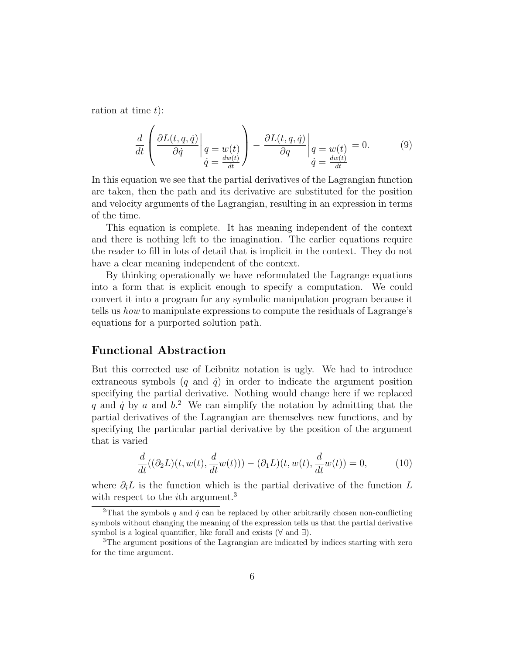ration at time  $t$ :

$$
\frac{d}{dt} \left( \frac{\partial L(t, q, \dot{q})}{\partial \dot{q}} \bigg|_{\substack{q = w(t) \\ \dot{q} = \frac{dw(t)}{dt}}} \right) - \frac{\partial L(t, q, \dot{q})}{\partial q} \bigg|_{\substack{q = w(t) \\ \dot{q} = \frac{dw(t)}{dt}}} = 0. \tag{9}
$$

In this equation we see that the partial derivatives of the Lagrangian function are taken, then the path and its derivative are substituted for the position and velocity arguments of the Lagrangian, resulting in an expression in terms of the time.

This equation is complete. It has meaning independent of the context and there is nothing left to the imagination. The earlier equations require the reader to fill in lots of detail that is implicit in the context. They do not have a clear meaning independent of the context.

By thinking operationally we have reformulated the Lagrange equations into a form that is explicit enough to specify a computation. We could convert it into a program for any symbolic manipulation program because it tells us how to manipulate expressions to compute the residuals of Lagrange's equations for a purported solution path.

#### **Functional Abstraction**

But this corrected use of Leibnitz notation is ugly. We had to introduce extraneous symbols  $(q \text{ and } \dot{q})$  in order to indicate the argument position specifying the partial derivative. Nothing would change here if we replaced q and  $\dot{q}$  by a and  $b$ <sup>2</sup>. We can simplify the notation by admitting that the partial derivatives of the Lagrangian are themselves new functions, and by specifying the particular partial derivative by the position of the argument that is varied

$$
\frac{d}{dt}((\partial_2 L)(t, w(t), \frac{d}{dt}w(t))) - (\partial_1 L)(t, w(t), \frac{d}{dt}w(t)) = 0,\tag{10}
$$

where  $\partial_i L$  is the function which is the partial derivative of the function L with respect to the *i*<sup>th</sup> argument.<sup>3</sup>

<sup>&</sup>lt;sup>2</sup>That the symbols q and  $\dot{q}$  can be replaced by other arbitrarily chosen non-conflicting symbols without changing the meaning of the expression tells us that the partial derivative symbol is a logical quantifier, like forall and exists ( $\forall$  and  $\exists$ ).

<sup>&</sup>lt;sup>3</sup>The argument positions of the Lagrangian are indicated by indices starting with zero for the time argument.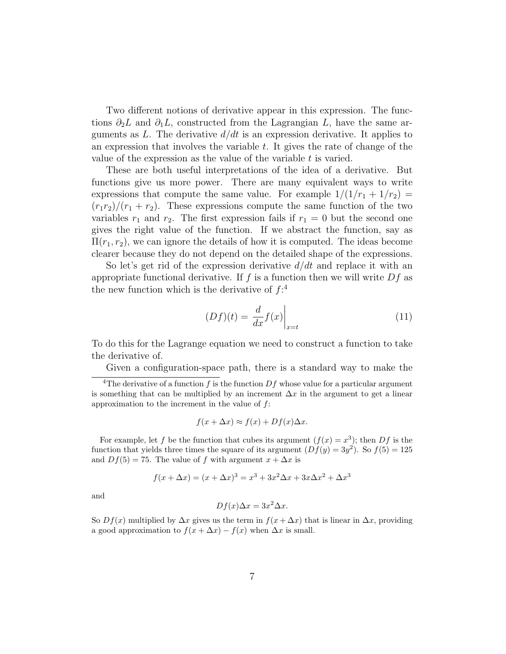Two different notions of derivative appear in this expression. The functions  $\partial_2 L$  and  $\partial_1 L$ , constructed from the Lagrangian L, have the same arguments as L. The derivative  $d/dt$  is an expression derivative. It applies to an expression that involves the variable  $t$ . It gives the rate of change of the value of the expression as the value of the variable  $t$  is varied.

These are both useful interpretations of the idea of a derivative. But functions give us more power. There are many equivalent ways to write expressions that compute the same value. For example  $1/(1/r_1 + 1/r_2)$  =  $(r_1r_2)/(r_1 + r_2)$ . These expressions compute the same function of the two variables  $r_1$  and  $r_2$ . The first expression fails if  $r_1 = 0$  but the second one gives the right value of the function. If we abstract the function, say as  $\Pi(r_1, r_2)$ , we can ignore the details of how it is computed. The ideas become clearer because they do not depend on the detailed shape of the expressions.

So let's get rid of the expression derivative  $d/dt$  and replace it with an appropriate functional derivative. If f is a function then we will write  $Df$  as the new function which is the derivative of  $f$ :<sup>4</sup>

$$
(Df)(t) = \frac{d}{dx}f(x)\Big|_{x=t} \tag{11}
$$

To do this for the Lagrange equation we need to construct a function to take the derivative of.

Given a configuration-space path, there is a standard way to make the

$$
f(x + \Delta x) \approx f(x) + Df(x)\Delta x.
$$

For example, let f be the function that cubes its argument  $(f(x) = x^3)$ ; then Df is the function that yields three times the square of its argument  $(Df(y)=3y^2)$ . So  $f(5)=125$ and  $Df(5) = 75$ . The value of f with argument  $x + \Delta x$  is

$$
f(x + \Delta x) = (x + \Delta x)^3 = x^3 + 3x^2 \Delta x + 3x \Delta x^2 + \Delta x^3
$$

and

$$
Df(x)\Delta x = 3x^2 \Delta x.
$$

So  $Df(x)$  multiplied by  $\Delta x$  gives us the term in  $f(x + \Delta x)$  that is linear in  $\Delta x$ , providing a good approximation to  $f(x + \Delta x) - f(x)$  when  $\Delta x$  is small.

<sup>&</sup>lt;sup>4</sup>The derivative of a function f is the function  $Df$  whose value for a particular argument is something that can be multiplied by an increment  $\Delta x$  in the argument to get a linear approximation to the increment in the value of  $f$ :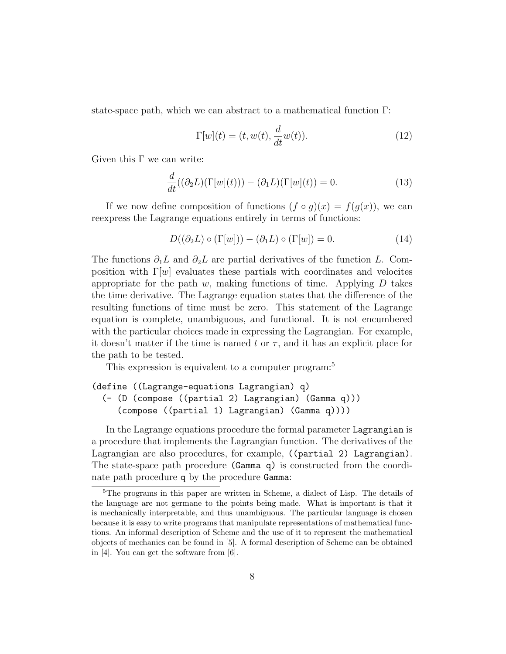state-space path, which we can abstract to a mathematical function Γ:

$$
\Gamma[w](t) = (t, w(t), \frac{d}{dt}w(t)).
$$
\n(12)

Given this  $\Gamma$  we can write:

$$
\frac{d}{dt}((\partial_2 L)(\Gamma[w](t))) - (\partial_1 L)(\Gamma[w](t)) = 0.
$$
\n(13)

If we now define composition of functions  $(f \circ g)(x) = f(g(x))$ , we can reexpress the Lagrange equations entirely in terms of functions:

$$
D((\partial_2 L) \circ (\Gamma[w])) - (\partial_1 L) \circ (\Gamma[w]) = 0.
$$
 (14)

The functions  $\partial_1 L$  and  $\partial_2 L$  are partial derivatives of the function L. Composition with  $\Gamma[w]$  evaluates these partials with coordinates and velocites appropriate for the path  $w$ , making functions of time. Applying  $D$  takes the time derivative. The Lagrange equation states that the difference of the resulting functions of time must be zero. This statement of the Lagrange equation is complete, unambiguous, and functional. It is not encumbered with the particular choices made in expressing the Lagrangian. For example, it doesn't matter if the time is named t or  $\tau$ , and it has an explicit place for the path to be tested.

This expression is equivalent to a computer program:<sup>5</sup>

```
(define ((Lagrange-equations Lagrangian) q)
 (- (D (compose ((partial 2) Lagrangian) (Gamma q)))
    (compose ((partial 1) Lagrangian) (Gamma q))))
```
In the Lagrange equations procedure the formal parameter Lagrangian is a procedure that implements the Lagrangian function. The derivatives of the Lagrangian are also procedures, for example, ((partial 2) Lagrangian). The state-space path procedure (Gamma q) is constructed from the coordinate path procedure q by the procedure Gamma:

<sup>5</sup>The programs in this paper are written in Scheme, a dialect of Lisp. The details of the language are not germane to the points being made. What is important is that it is mechanically interpretable, and thus unambiguous. The particular language is chosen because it is easy to write programs that manipulate representations of mathematical functions. An informal description of Scheme and the use of it to represent the mathematical objects of mechanics can be found in [5]. A formal description of Scheme can be obtained in [4]. You can get the software from [6].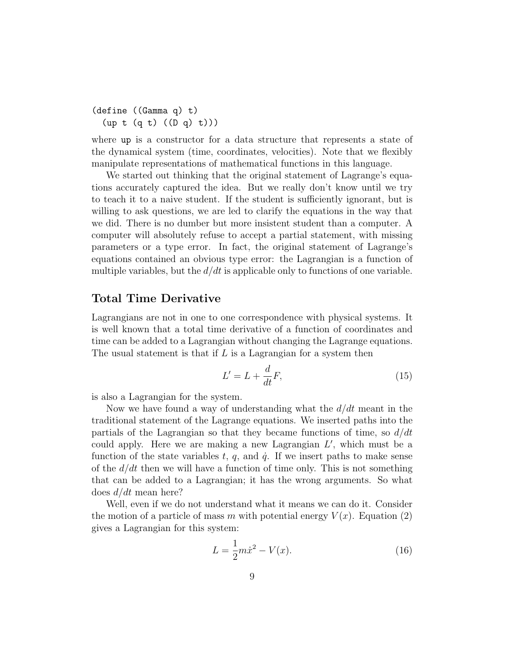```
(define ((Gamma q) t)
 (up t (q t) ((D q) t)))
```
where up is a constructor for a data structure that represents a state of the dynamical system (time, coordinates, velocities). Note that we flexibly manipulate representations of mathematical functions in this language.

We started out thinking that the original statement of Lagrange's equations accurately captured the idea. But we really don't know until we try to teach it to a naive student. If the student is sufficiently ignorant, but is willing to ask questions, we are led to clarify the equations in the way that we did. There is no dumber but more insistent student than a computer. A computer will absolutely refuse to accept a partial statement, with missing parameters or a type error. In fact, the original statement of Lagrange's equations contained an obvious type error: the Lagrangian is a function of multiple variables, but the  $d/dt$  is applicable only to functions of one variable.

#### **Total Time Derivative**

Lagrangians are not in one to one correspondence with physical systems. It is well known that a total time derivative of a function of coordinates and time can be added to a Lagrangian without changing the Lagrange equations. The usual statement is that if  $L$  is a Lagrangian for a system then

$$
L' = L + \frac{d}{dt}F,\t\t(15)
$$

is also a Lagrangian for the system.

Now we have found a way of understanding what the  $d/dt$  meant in the traditional statement of the Lagrange equations. We inserted paths into the partials of the Lagrangian so that they became functions of time, so  $d/dt$ could apply. Here we are making a new Lagrangian  $L'$ , which must be a function of the state variables  $t, q$ , and  $\dot{q}$ . If we insert paths to make sense of the  $d/dt$  then we will have a function of time only. This is not something that can be added to a Lagrangian; it has the wrong arguments. So what does  $d/dt$  mean here?

Well, even if we do not understand what it means we can do it. Consider the motion of a particle of mass m with potential energy  $V(x)$ . Equation (2) gives a Lagrangian for this system:

$$
L = \frac{1}{2}m\dot{x}^2 - V(x).
$$
 (16)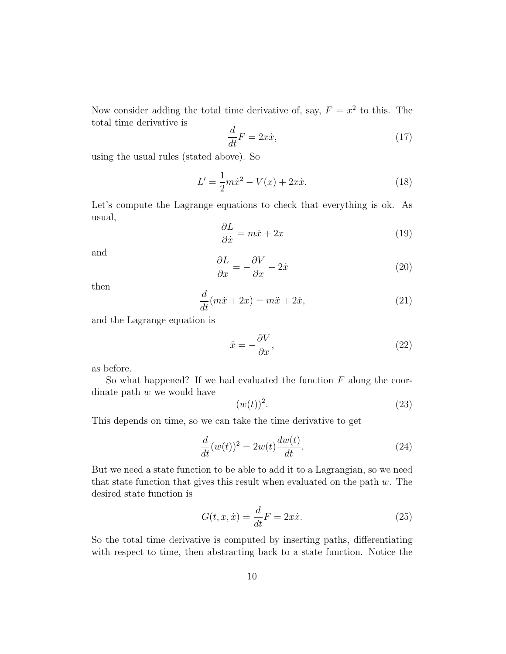Now consider adding the total time derivative of, say,  $F = x^2$  to this. The total time derivative is

$$
\frac{d}{dt}F = 2x\dot{x},\tag{17}
$$

using the usual rules (stated above). So

$$
L' = \frac{1}{2}m\dot{x}^2 - V(x) + 2x\dot{x}.
$$
 (18)

Let's compute the Lagrange equations to check that everything is ok. As usual,

$$
\frac{\partial L}{\partial \dot{x}} = m\dot{x} + 2x \tag{19}
$$

and

$$
\frac{\partial L}{\partial x} = -\frac{\partial V}{\partial x} + 2\dot{x}
$$
 (20)

then

$$
\frac{d}{dt}(m\dot{x} + 2x) = m\ddot{x} + 2\dot{x},\tag{21}
$$

and the Lagrange equation is

$$
\ddot{x} = -\frac{\partial V}{\partial x},\tag{22}
$$

as before.

So what happened? If we had evaluated the function  $F$  along the coordinate path  $w$  we would have

$$
(w(t))^2.
$$
 (23)

This depends on time, so we can take the time derivative to get

$$
\frac{d}{dt}(w(t))^2 = 2w(t)\frac{dw(t)}{dt}.
$$
\n(24)

But we need a state function to be able to add it to a Lagrangian, so we need that state function that gives this result when evaluated on the path  $w$ . The desired state function is

$$
G(t, x, \dot{x}) = \frac{d}{dt}F = 2x\dot{x}.
$$
\n(25)

So the total time derivative is computed by inserting paths, differentiating with respect to time, then abstracting back to a state function. Notice the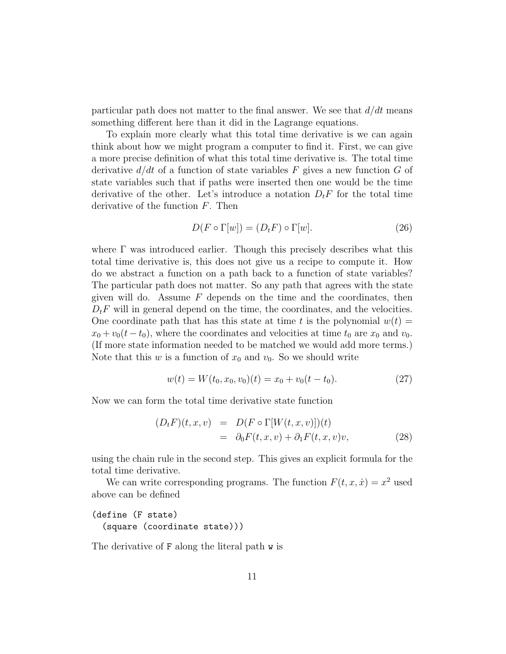particular path does not matter to the final answer. We see that  $d/dt$  means something different here than it did in the Lagrange equations.

To explain more clearly what this total time derivative is we can again think about how we might program a computer to find it. First, we can give a more precise definition of what this total time derivative is. The total time derivative  $d/dt$  of a function of state variables F gives a new function G of state variables such that if paths were inserted then one would be the time derivative of the other. Let's introduce a notation  $D_t F$  for the total time derivative of the function F. Then

$$
D(F \circ \Gamma[w]) = (D_t F) \circ \Gamma[w]. \tag{26}
$$

where Γ was introduced earlier. Though this precisely describes what this total time derivative is, this does not give us a recipe to compute it. How do we abstract a function on a path back to a function of state variables? The particular path does not matter. So any path that agrees with the state given will do. Assume  $F$  depends on the time and the coordinates, then  $D_t F$  will in general depend on the time, the coordinates, and the velocities. One coordinate path that has this state at time t is the polynomial  $w(t) =$  $x_0 + v_0(t - t_0)$ , where the coordinates and velocities at time  $t_0$  are  $x_0$  and  $v_0$ . (If more state information needed to be matched we would add more terms.) Note that this w is a function of  $x_0$  and  $v_0$ . So we should write

$$
w(t) = W(t_0, x_0, v_0)(t) = x_0 + v_0(t - t_0).
$$
\n(27)

Now we can form the total time derivative state function

$$
(D_t F)(t, x, v) = D(F \circ \Gamma[W(t, x, v)])(t)
$$
  
=  $\partial_0 F(t, x, v) + \partial_1 F(t, x, v)v,$  (28)

using the chain rule in the second step. This gives an explicit formula for the total time derivative.

We can write corresponding programs. The function  $F(t, x, \dot{x}) = x^2$  used above can be defined

#### (define (F state) (square (coordinate state)))

The derivative of F along the literal path w is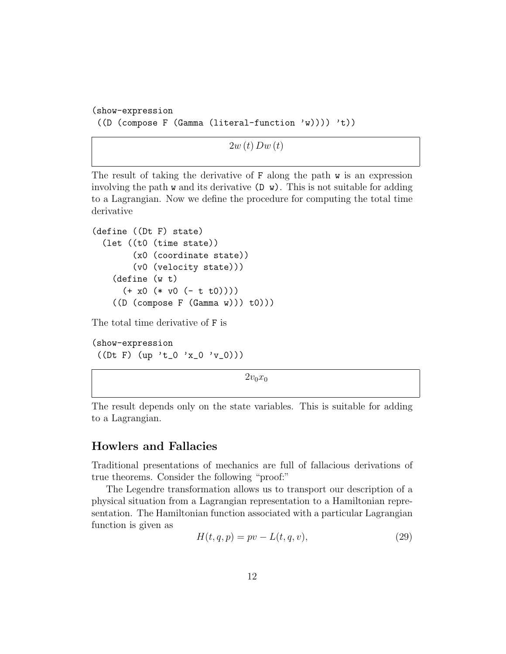```
(show-expression
((D (compose F (Gamma (literal-function 'w)))) 't))
```
 $2w(t)$  Dw $(t)$ 

The result of taking the derivative of  $F$  along the path  $w$  is an expression involving the path  $\bf{w}$  and its derivative ( $\bf{D}$   $\bf{w}$ ). This is not suitable for adding to a Lagrangian. Now we define the procedure for computing the total time derivative

```
(define ((Dt F) state)
 (let ((t0 (time state))
       (x0 (coordinate state))
       (v0 (velocity state)))
   (define (w t)
     (+ x0 (* v0 (- t t0))))((D (compare F (Gamma w))) to (0)))
```
The total time derivative of F is

(show-expression  $((Dt F) (up 't_0 'x_0 'v_0)))$ 

 $2v_0x_0$ 

The result depends only on the state variables. This is suitable for adding to a Lagrangian.

#### **Howlers and Fallacies**

Traditional presentations of mechanics are full of fallacious derivations of true theorems. Consider the following "proof:"

The Legendre transformation allows us to transport our description of a physical situation from a Lagrangian representation to a Hamiltonian representation. The Hamiltonian function associated with a particular Lagrangian function is given as

$$
H(t, q, p) = pv - L(t, q, v),
$$
\n(29)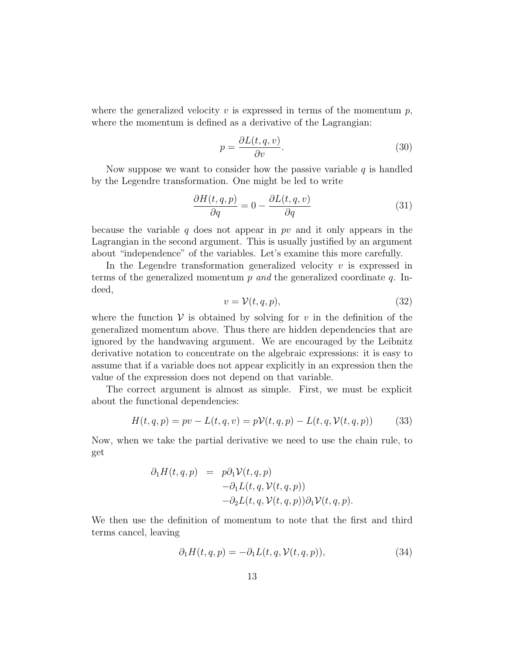where the generalized velocity v is expressed in terms of the momentum  $p$ , where the momentum is defined as a derivative of the Lagrangian:

$$
p = \frac{\partial L(t, q, v)}{\partial v}.
$$
\n(30)

Now suppose we want to consider how the passive variable  $q$  is handled by the Legendre transformation. One might be led to write

$$
\frac{\partial H(t,q,p)}{\partial q} = 0 - \frac{\partial L(t,q,v)}{\partial q}
$$
\n(31)

because the variable q does not appear in pv and it only appears in the Lagrangian in the second argument. This is usually justified by an argument about "independence" of the variables. Let's examine this more carefully.

In the Legendre transformation generalized velocity  $v$  is expressed in terms of the generalized momentum  $p$  and the generalized coordinate  $q$ . Indeed,

$$
v = \mathcal{V}(t, q, p),\tag{32}
$$

where the function  $\mathcal V$  is obtained by solving for v in the definition of the generalized momentum above. Thus there are hidden dependencies that are ignored by the handwaving argument. We are encouraged by the Leibnitz derivative notation to concentrate on the algebraic expressions: it is easy to assume that if a variable does not appear explicitly in an expression then the value of the expression does not depend on that variable.

The correct argument is almost as simple. First, we must be explicit about the functional dependencies:

$$
H(t, q, p) = pv - L(t, q, v) = pV(t, q, p) - L(t, q, V(t, q, p))
$$
 (33)

Now, when we take the partial derivative we need to use the chain rule, to get

$$
\partial_1 H(t, q, p) = p \partial_1 \mathcal{V}(t, q, p)
$$
  

$$
- \partial_1 L(t, q, \mathcal{V}(t, q, p))
$$
  

$$
- \partial_2 L(t, q, \mathcal{V}(t, q, p)) \partial_1 \mathcal{V}(t, q, p).
$$

We then use the definition of momentum to note that the first and third terms cancel, leaving

$$
\partial_1 H(t, q, p) = -\partial_1 L(t, q, \mathcal{V}(t, q, p)),\tag{34}
$$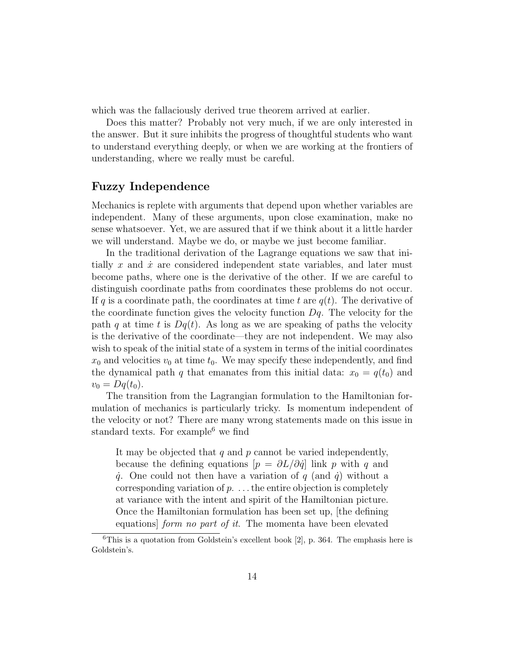which was the fallaciously derived true theorem arrived at earlier.

Does this matter? Probably not very much, if we are only interested in the answer. But it sure inhibits the progress of thoughtful students who want to understand everything deeply, or when we are working at the frontiers of understanding, where we really must be careful.

#### **Fuzzy Independence**

Mechanics is replete with arguments that depend upon whether variables are independent. Many of these arguments, upon close examination, make no sense whatsoever. Yet, we are assured that if we think about it a little harder we will understand. Maybe we do, or maybe we just become familiar.

In the traditional derivation of the Lagrange equations we saw that initially x and  $\dot{x}$  are considered independent state variables, and later must become paths, where one is the derivative of the other. If we are careful to distinguish coordinate paths from coordinates these problems do not occur. If q is a coordinate path, the coordinates at time t are  $q(t)$ . The derivative of the coordinate function gives the velocity function  $Dq$ . The velocity for the path q at time t is  $Dq(t)$ . As long as we are speaking of paths the velocity is the derivative of the coordinate—they are not independent. We may also wish to speak of the initial state of a system in terms of the initial coordinates  $x_0$  and velocities  $v_0$  at time  $t_0$ . We may specify these independently, and find the dynamical path q that emanates from this initial data:  $x_0 = q(t_0)$  and  $v_0 = Dq(t_0).$ 

The transition from the Lagrangian formulation to the Hamiltonian formulation of mechanics is particularly tricky. Is momentum independent of the velocity or not? There are many wrong statements made on this issue in standard texts. For example<sup>6</sup> we find

It may be objected that  $q$  and  $p$  cannot be varied independently, because the defining equations  $[p = \partial L/\partial \dot{q}]$  link p with q and  $\dot{q}$ . One could not then have a variation of q (and  $\dot{q}$ ) without a corresponding variation of  $p$ ... the entire objection is completely at variance with the intent and spirit of the Hamiltonian picture. Once the Hamiltonian formulation has been set up, [the defining equations] form no part of it. The momenta have been elevated

 $6$ This is a quotation from Goldstein's excellent book [2], p. 364. The emphasis here is Goldstein's.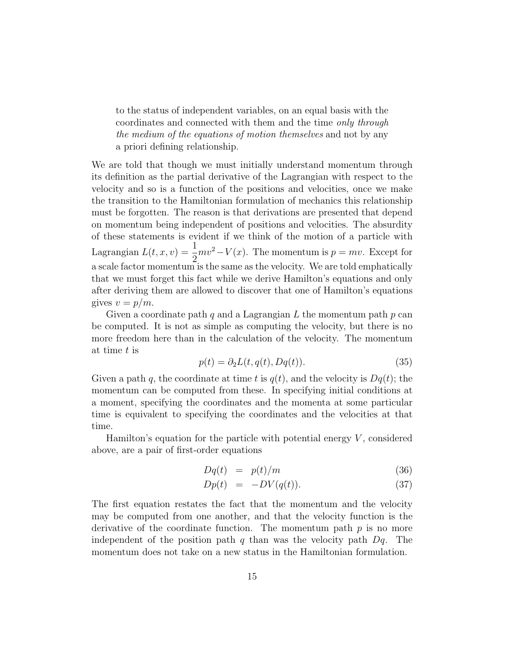to the status of independent variables, on an equal basis with the coordinates and connected with them and the time only through the medium of the equations of motion themselves and not by any a priori defining relationship.

We are told that though we must initially understand momentum through its definition as the partial derivative of the Lagrangian with respect to the velocity and so is a function of the positions and velocities, once we make the transition to the Hamiltonian formulation of mechanics this relationship must be forgotten. The reason is that derivations are presented that depend on momentum being independent of positions and velocities. The absurdity of these statements is evident if we think of the motion of a particle with Lagrangian  $L(t, x, v) = \frac{1}{2}$  $\frac{1}{2}mv^2 - V(x)$ . The momentum is  $p = mv$ . Except for a scale factor momentum is the same as the velocity. We are told emphatically that we must forget this fact while we derive Hamilton's equations and only after deriving them are allowed to discover that one of Hamilton's equations gives  $v = p/m$ .

Given a coordinate path q and a Lagrangian L the momentum path  $p$  can be computed. It is not as simple as computing the velocity, but there is no more freedom here than in the calculation of the velocity. The momentum at time t is

$$
p(t) = \partial_2 L(t, q(t), Dq(t)).
$$
\n(35)

Given a path q, the coordinate at time t is  $q(t)$ , and the velocity is  $Dq(t)$ ; the momentum can be computed from these. In specifying initial conditions at a moment, specifying the coordinates and the momenta at some particular time is equivalent to specifying the coordinates and the velocities at that time.

Hamilton's equation for the particle with potential energy  $V$ , considered above, are a pair of first-order equations

$$
Dq(t) = p(t)/m \tag{36}
$$

$$
Dp(t) = -DV(q(t)). \tag{37}
$$

The first equation restates the fact that the momentum and the velocity may be computed from one another, and that the velocity function is the derivative of the coordinate function. The momentum path  $p$  is no more independent of the position path q than was the velocity path  $Dq$ . The momentum does not take on a new status in the Hamiltonian formulation.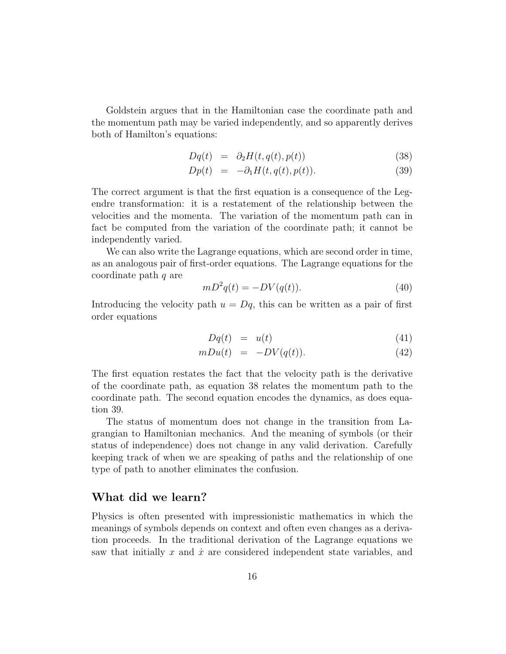Goldstein argues that in the Hamiltonian case the coordinate path and the momentum path may be varied independently, and so apparently derives both of Hamilton's equations:

$$
Dq(t) = \partial_2 H(t, q(t), p(t)) \tag{38}
$$

$$
Dp(t) = -\partial_1 H(t, q(t), p(t)). \tag{39}
$$

The correct argument is that the first equation is a consequence of the Legendre transformation: it is a restatement of the relationship between the velocities and the momenta. The variation of the momentum path can in fact be computed from the variation of the coordinate path; it cannot be independently varied.

We can also write the Lagrange equations, which are second order in time, as an analogous pair of first-order equations. The Lagrange equations for the coordinate path q are

$$
mD^2q(t) = -DV(q(t)).\tag{40}
$$

Introducing the velocity path  $u = Dq$ , this can be written as a pair of first order equations

$$
Dq(t) = u(t) \tag{41}
$$

$$
mDu(t) = -DV(q(t)). \tag{42}
$$

The first equation restates the fact that the velocity path is the derivative of the coordinate path, as equation 38 relates the momentum path to the coordinate path. The second equation encodes the dynamics, as does equation 39.

The status of momentum does not change in the transition from Lagrangian to Hamiltonian mechanics. And the meaning of symbols (or their status of independence) does not change in any valid derivation. Carefully keeping track of when we are speaking of paths and the relationship of one type of path to another eliminates the confusion.

#### **What did we learn?**

Physics is often presented with impressionistic mathematics in which the meanings of symbols depends on context and often even changes as a derivation proceeds. In the traditional derivation of the Lagrange equations we saw that initially x and  $\dot{x}$  are considered independent state variables, and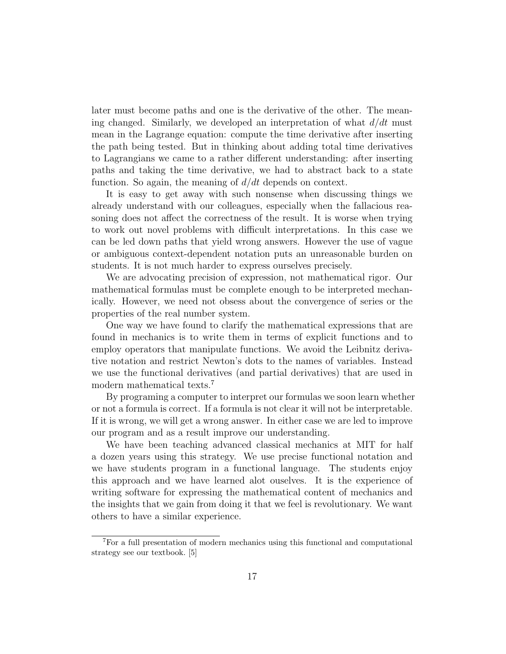later must become paths and one is the derivative of the other. The meaning changed. Similarly, we developed an interpretation of what  $d/dt$  must mean in the Lagrange equation: compute the time derivative after inserting the path being tested. But in thinking about adding total time derivatives to Lagrangians we came to a rather different understanding: after inserting paths and taking the time derivative, we had to abstract back to a state function. So again, the meaning of  $d/dt$  depends on context.

It is easy to get away with such nonsense when discussing things we already understand with our colleagues, especially when the fallacious reasoning does not affect the correctness of the result. It is worse when trying to work out novel problems with difficult interpretations. In this case we can be led down paths that yield wrong answers. However the use of vague or ambiguous context-dependent notation puts an unreasonable burden on students. It is not much harder to express ourselves precisely.

We are advocating precision of expression, not mathematical rigor. Our mathematical formulas must be complete enough to be interpreted mechanically. However, we need not obsess about the convergence of series or the properties of the real number system.

One way we have found to clarify the mathematical expressions that are found in mechanics is to write them in terms of explicit functions and to employ operators that manipulate functions. We avoid the Leibnitz derivative notation and restrict Newton's dots to the names of variables. Instead we use the functional derivatives (and partial derivatives) that are used in modern mathematical texts.<sup>7</sup>

By programing a computer to interpret our formulas we soon learn whether or not a formula is correct. If a formula is not clear it will not be interpretable. If it is wrong, we will get a wrong answer. In either case we are led to improve our program and as a result improve our understanding.

We have been teaching advanced classical mechanics at MIT for half a dozen years using this strategy. We use precise functional notation and we have students program in a functional language. The students enjoy this approach and we have learned alot ouselves. It is the experience of writing software for expressing the mathematical content of mechanics and the insights that we gain from doing it that we feel is revolutionary. We want others to have a similar experience.

<sup>7</sup>For a full presentation of modern mechanics using this functional and computational strategy see our textbook. [5]